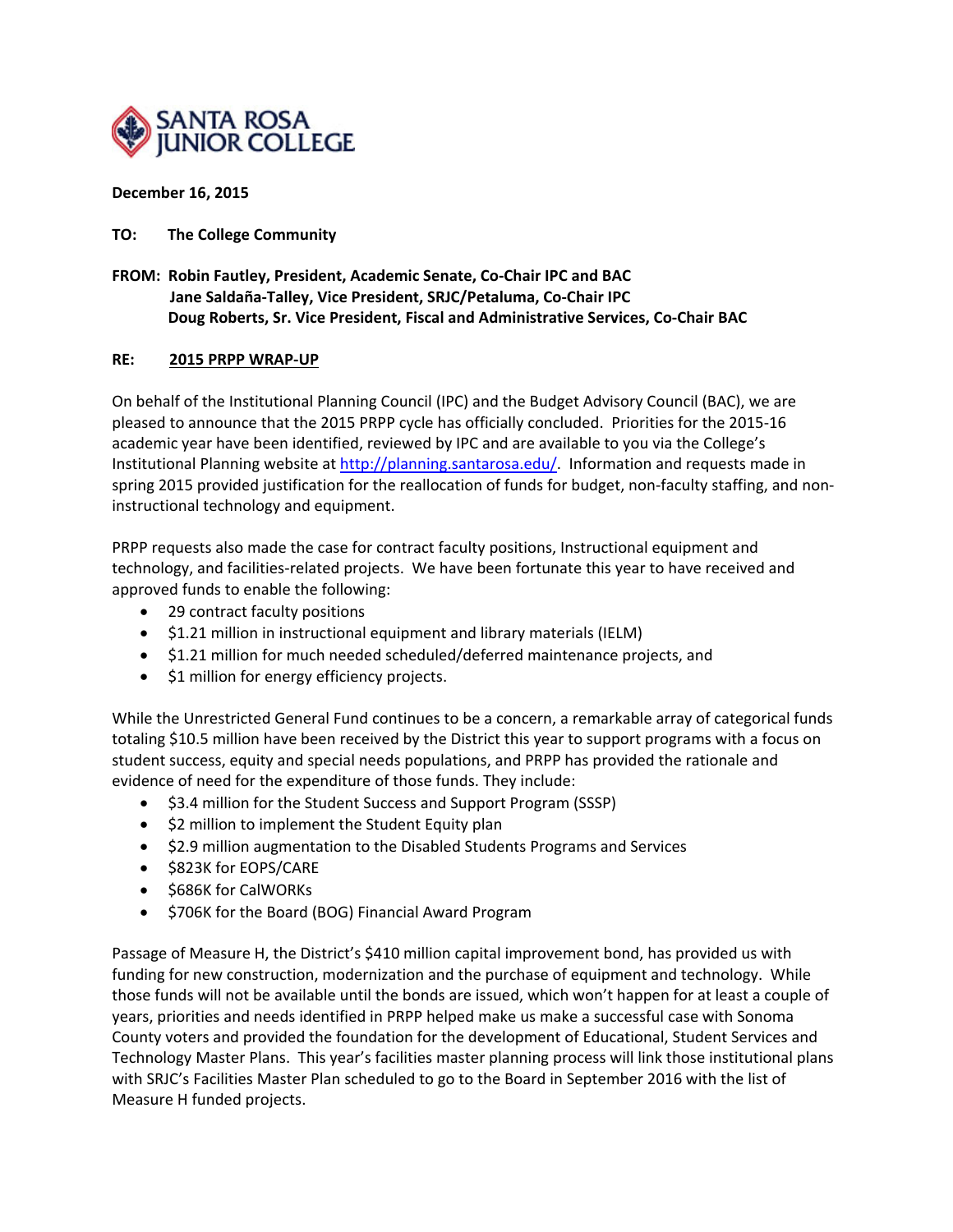

## **December 16, 2015**

## **TO: The College Community**

**FROM: Robin Fautley, President, Academic Senate, Co‐Chair IPC and BAC Jane Saldaña‐Talley, Vice President, SRJC/Petaluma, Co‐Chair IPC Doug Roberts, Sr. Vice President, Fiscal and Administrative Services, Co‐Chair BAC**

## **RE: 2015 PRPP WRAP‐UP**

On behalf of the Institutional Planning Council (IPC) and the Budget Advisory Council (BAC), we are pleased to announce that the 2015 PRPP cycle has officially concluded. Priorities for the 2015‐16 academic year have been identified, reviewed by IPC and are available to you via the College's Institutional Planning website at http://planning.santarosa.edu/. Information and requests made in spring 2015 provided justification for the reallocation of funds for budget, non-faculty staffing, and noninstructional technology and equipment.

PRPP requests also made the case for contract faculty positions, Instructional equipment and technology, and facilities‐related projects. We have been fortunate this year to have received and approved funds to enable the following:

- 29 contract faculty positions
- $\bullet$  \$1.21 million in instructional equipment and library materials (IELM)
- \$1.21 million for much needed scheduled/deferred maintenance projects, and
- \$1 million for energy efficiency projects.

While the Unrestricted General Fund continues to be a concern, a remarkable array of categorical funds totaling \$10.5 million have been received by the District this year to support programs with a focus on student success, equity and special needs populations, and PRPP has provided the rationale and evidence of need for the expenditure of those funds. They include:

- \$3.4 million for the Student Success and Support Program (SSSP)
- $\bullet$  \$2 million to implement the Student Equity plan
- \$2.9 million augmentation to the Disabled Students Programs and Services
- $\bullet$  \$823K for EOPS/CARE
- \$686K for CalWORKs
- \$706K for the Board (BOG) Financial Award Program

Passage of Measure H, the District's \$410 million capital improvement bond, has provided us with funding for new construction, modernization and the purchase of equipment and technology. While those funds will not be available until the bonds are issued, which won't happen for at least a couple of years, priorities and needs identified in PRPP helped make us make a successful case with Sonoma County voters and provided the foundation for the development of Educational, Student Services and Technology Master Plans. This year's facilities master planning process will link those institutional plans with SRJC's Facilities Master Plan scheduled to go to the Board in September 2016 with the list of Measure H funded projects.